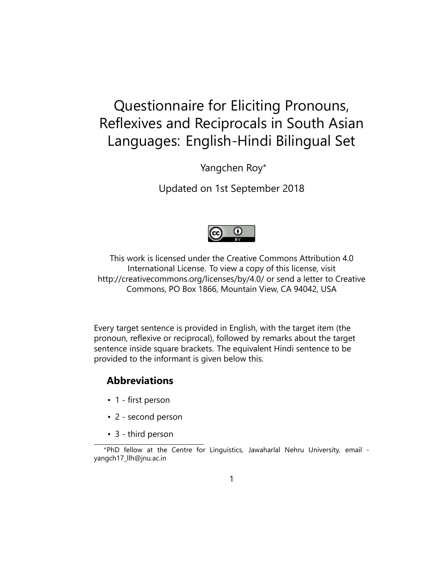# Questionnaire for Eliciting Pronouns, Reflexives and Reciprocals in South Asian Languages: English-Hindi Bilingual Set

Yangchen Roy\*

Updated on 1st September 2018



This work is licensed under the Creative Commons Attribution 4.0 International License. To view a copy of this license, visit http://creativecommons.org/licenses/by/4.0/ or send a letter to Creative Commons, PO Box 1866, Mountain View, CA 94042, USA

Every target sentence is provided in English, with the target item (the pronoun, reflexive or reciprocal), followed by remarks about the target sentence inside square brackets. The equivalent Hindi sentence to be provided to the informant is given below this.

### **Abbreviations**

- 1 first person
- 2 second person
- 3 third person

<sup>\*</sup>PhD fellow at the Centre for Linguistics, Jawaharlal Nehru University, email yangch17\_llh@jnu.ac.in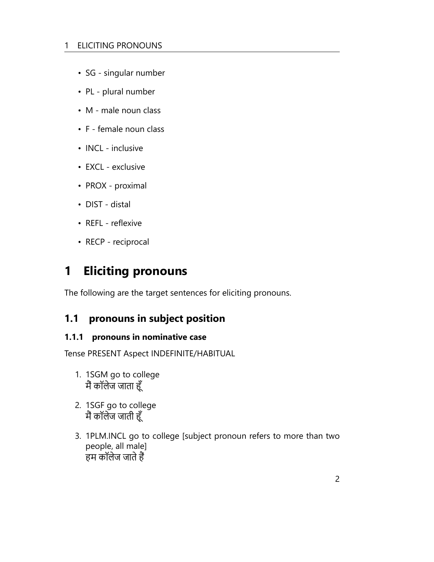#### 1 ELICITING PRONOUNS

- SG singular number
- PL plural number
- M male noun class
- F female noun class
- INCL inclusive
- EXCL exclusive
- PROX proximal
- DIST distal
- REFL reflexive
- RECP reciprocal

## **1 Eliciting pronouns**

The following are the target sentences for eliciting pronouns.

### **1.1 pronouns in subject position**

#### **1.1.1 pronouns in nominative case**

Tense PRESENT Aspect INDEFINITE/HABITUAL

- 1. 1SGM go to college मैं कॉलेज जाता हूँ
- 2. 1SGF go to college मैं कॉलेज जाती हूँ
- 3. 1PLM.INCL go to college [subject pronoun refers to more than two people, all male] हम कॉलेज जाते हैं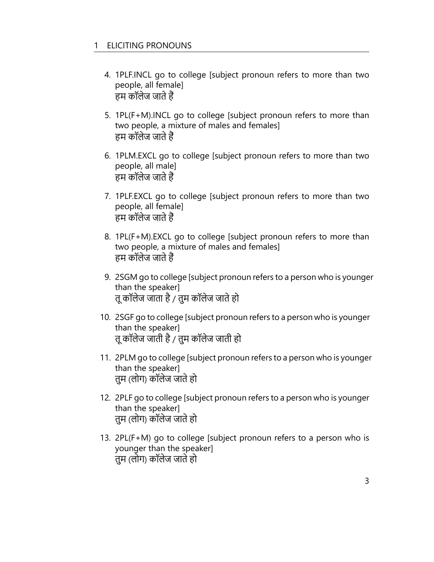- 4. 1PLF.INCL go to college [subject pronoun refers to more than two people, all female] हम कॉलेज जाते हैं
- 5. 1PL(F+M).INCL go to college [subject pronoun refers to more than two people, a mixture of males and females] हम कॉलेज जाते हैं
- 6. 1PLM.EXCL go to college [subject pronoun refers to more than two people, all male] हम कॉलेज जाते हैं
- 7. 1PLF.EXCL go to college [subject pronoun refers to more than two people, all female] हम कॉलेज जाते हैं
- 8. 1PL(F+M).EXCL go to college [subject pronoun refers to more than two people, a mixture of males and females] हम कॉलेज जाते हैं
- 9. 2SGM go to college [subject pronoun refers to a person who is younger than the speaker] तू कॉलेज जाता है / तुम कॉलेज जाते हो
- 10. 2SGF go to college [subject pronoun refers to a person who is younger than the speaker] तू कॉलेज जाती है / तुम कॉलेज जाती हो
- 11. 2PLM go to college [subject pronoun refers to a person who is younger than the speaker] तुम (लोग) कॉलेज जाते हो
- 12. 2PLF go to college [subject pronoun refers to a person who is younger than the speaker] तुम (लोग) कॉलेज जाते हो
- 13. 2PL(F+M) go to college [subject pronoun refers to a person who is younger than the speaker] तुम (लोग) कॉलेज जाते हो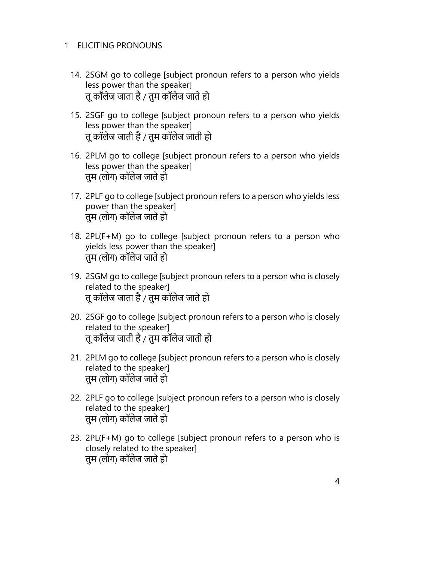- 14. 2SGM go to college [subject pronoun refers to a person who yields less power than the speaker] तू कॉलेज जाता है / तुम कॉलेज जाते हो
- 15. 2SGF go to college [subject pronoun refers to a person who yields less power than the speaker] तू कॉलेज जाती है / तुम कॉलेज जाती हो
- 16. 2PLM go to college [subject pronoun refers to a person who yields less power than the speaker] तुम (लोग) कॉलेज जाते हो
- 17. 2PLF go to college [subject pronoun refers to a person who yields less power than the speaker] तुम (लोग) कॉलेज जाते हो
- 18. 2PL(F+M) go to college [subject pronoun refers to a person who yields less power than the speaker] तुम (लोग) कॉलेज जाते हो
- 19. 2SGM go to college [subject pronoun refers to a person who is closely related to the speaker] तू कॉलेज जाता है / तुम कॉलेज जाते हो
- 20. 2SGF go to college [subject pronoun refers to a person who is closely related to the speaker] तू कॉलेज जाती है / तुम कॉलेज जाती हो
- 21. 2PLM go to college [subject pronoun refers to a person who is closely related to the speaker] तुम (लोग) कॉलेज जाते हो
- 22. 2PLF go to college [subject pronoun refers to a person who is closely related to the speaker] तुम (लोग) कॉलेज जाते हो
- 23. 2PL(F+M) go to college [subject pronoun refers to a person who is closely related to the speaker] तुम (लोग) कॉलेज जाते हो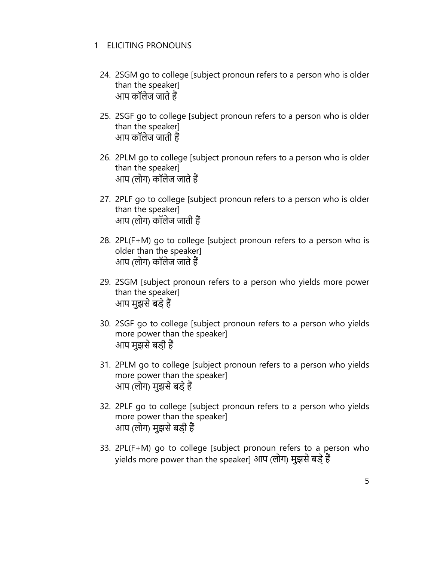- 24. 2SGM go to college [subject pronoun refers to a person who is older than the speaker] आप कॉलेज जाते हैं
- 25. 2SGF go to college [subject pronoun refers to a person who is older than the speaker] आप कॉलेज जाती हैं
- 26. 2PLM go to college [subject pronoun refers to a person who is older than the speaker] आप (लोग) कॉलेज जाते हैं
- 27. 2PLF go to college [subject pronoun refers to a person who is older than the speaker] आप (लोग) कॉलेज जाती हैं
- 28. 2PL(F+M) go to college [subject pronoun refers to a person who is older than the speaker] आप (लोग) कॉलेज जाते हैं
- 29. 2SGM [subject pronoun refers to a person who yields more power than the speaker] आप मुझसे बड़े हैं
- 30. 2SGF go to college [subject pronoun refers to a person who yields more power than the speaker] आप मुझसे बड़ी हैं
- 31. 2PLM go to college [subject pronoun refers to a person who yields more power than the speaker] आप (लोग) मुझसे बड़े हैं
- 32. 2PLF go to college [subject pronoun refers to a person who yields more power than the speaker] आप (लोग) मुझसे बड़ी हैं
- 33. 2PL(F+M) go to college [subject pronoun refers to a person who yields more power than the speaker] आप (लोग) मुझसे बड़े हैं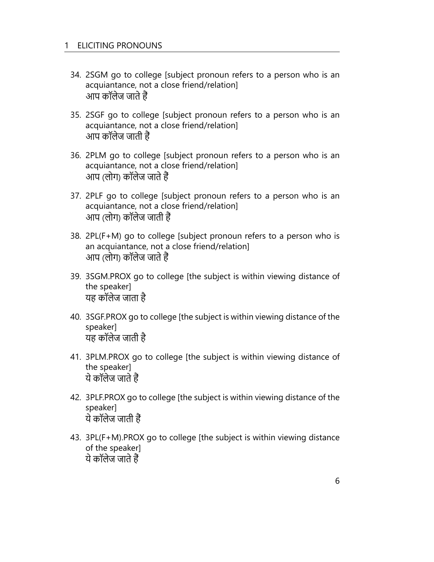- 34. 2SGM go to college [subject pronoun refers to a person who is an acquiantance, not a close friend/relation] आप कॉलेज जाते हैं
- 35. 2SGF go to college [subject pronoun refers to a person who is an acquiantance, not a close friend/relation] आप कॉलेज जाती हैं
- 36. 2PLM go to college [subject pronoun refers to a person who is an acquiantance, not a close friend/relation] आप (लोग) कॉलेज जाते हैं
- 37. 2PLF go to college [subject pronoun refers to a person who is an acquiantance, not a close friend/relation] आप (लोग) कॉलेज जाती हैं
- 38. 2PL(F+M) go to college [subject pronoun refers to a person who is an acquiantance, not a close friend/relation] आप (लोग) कॉलेज जाते हैं
- 39. 3SGM.PROX go to college [the subject is within viewing distance of the speaker] यह कॉलेज जाता है
- 40. 3SGF.PROX go to college [the subject is within viewing distance of the speaker] यह कॉलेज जाती है
- 41. 3PLM.PROX go to college [the subject is within viewing distance of the speaker] ये कॉलेज जाते हैं
- 42. 3PLF.PROX go to college [the subject is within viewing distance of the speaker] ये कॉलेज जाती हैं
- 43. 3PL(F+M).PROX go to college [the subject is within viewing distance of the speaker] ये कॉलेज जाते हैं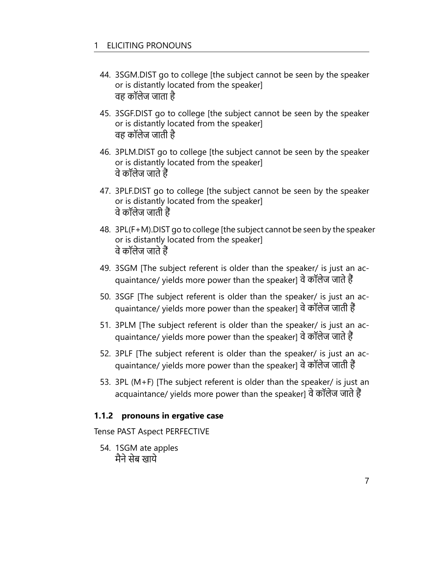- 44. 3SGM.DIST go to college [the subject cannot be seen by the speaker or is distantly located from the speaker] वह कॉलेज जाता है
- 45. 3SGF.DIST go to college [the subject cannot be seen by the speaker or is distantly located from the speaker] वह कॉलेज जाती है
- 46. 3PLM.DIST go to college [the subject cannot be seen by the speaker or is distantly located from the speaker] वे कॉलेज जाते हैं
- 47. 3PLF.DIST go to college [the subject cannot be seen by the speaker or is distantly located from the speaker] वे कॉलेज जाती हैं
- 48. 3PL(F+M).DIST go to college [the subject cannot be seen by the speaker or is distantly located from the speaker] वे कॉलेज जाते हैं
- 49. 3SGM [The subject referent is older than the speaker/ is just an acquaintance/ yields more power than the speaker] वे कॉलेज जाते हैं
- 50. 3SGF [The subject referent is older than the speaker/ is just an acquaintance/ yields more power than the speaker] वे कॉलेज जाती हैं
- 51. 3PLM [The subject referent is older than the speaker/ is just an acquaintance/ yields more power than the speaker] वे कॉलेज जाते हैं
- 52. 3PLF [The subject referent is older than the speaker/ is just an acquaintance/ yields more power than the speaker] वे कॉलेज जाती हैं
- 53. 3PL (M+F) [The subject referent is older than the speaker/ is just an acquaintance/ yields more power than the speaker] वे कॉलेज जाते हैं

#### **1.1.2 pronouns in ergative case**

Tense PAST Aspect PERFECTIVE

54. 1SGM ate apples मैने सेब खाये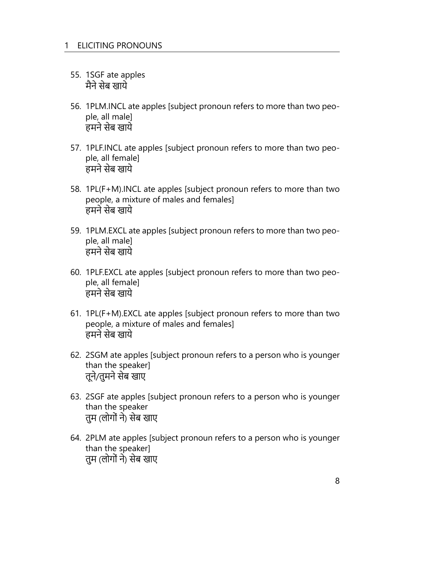- 55. 1SGF ate apples मैने सेब खाये
- 56. 1PLM.INCL ate apples [subject pronoun refers to more than two people, all male] हमने सेब खाये
- 57. 1PLF.INCL ate apples [subject pronoun refers to more than two people, all female] हमने सेब खाये
- 58. 1PL(F+M).INCL ate apples [subject pronoun refers to more than two people, a mixture of males and females] हमने सेब खाये
- 59. 1PLM.EXCL ate apples [subject pronoun refers to more than two people, all male] हमने सेब खाये
- 60. 1PLF.EXCL ate apples [subject pronoun refers to more than two people, all female] हमने सेब खाये
- 61. 1PL(F+M).EXCL ate apples [subject pronoun refers to more than two people, a mixture of males and females] हमने सेब खाये
- 62. 2SGM ate apples [subject pronoun refers to a person who is younger than the speaker] तूने/तुमने सेब खाए
- 63. 2SGF ate apples [subject pronoun refers to a person who is younger than the speaker तुम (लोगों ने) सेब खाए
- 64. 2PLM ate apples [subject pronoun refers to a person who is younger than the speaker] तुम (लोगों ने) सेब खाए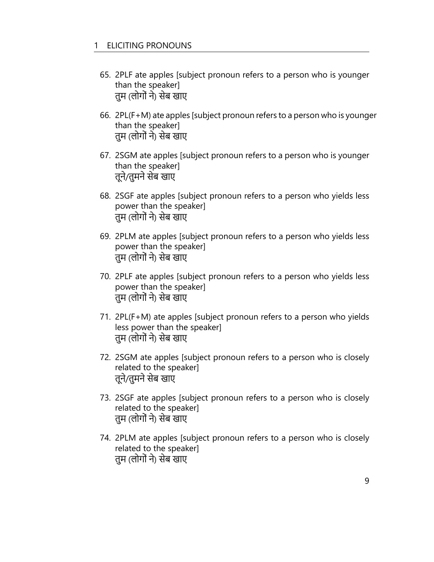- 65. 2PLF ate apples [subject pronoun refers to a person who is younger than the speaker] तुम (लोगों ने) सेब खाए
- 66. 2PL(F+M) ate apples [subject pronoun refers to a person who is younger than the speaker] तुम (लोगों ने) सेब खाए
- 67. 2SGM ate apples [subject pronoun refers to a person who is younger than the speaker] तूने/तुमने सेब खाए
- 68. 2SGF ate apples [subject pronoun refers to a person who yields less power than the speaker] तुम (लोगों ने) सेब खाए
- 69. 2PLM ate apples [subject pronoun refers to a person who yields less power than the speaker] तुम (लोगों ने) सेब खाए
- 70. 2PLF ate apples [subject pronoun refers to a person who yields less power than the speaker] तुम (लोगों ने) सेब खाए
- 71. 2PL(F+M) ate apples [subject pronoun refers to a person who yields less power than the speaker] तुम (लोगों ने) सेब खाए
- 72. 2SGM ate apples [subject pronoun refers to a person who is closely related to the speaker] तूने/तुमने सेब खाए
- 73. 2SGF ate apples [subject pronoun refers to a person who is closely related to the speaker] तुम (लोगों ने) सेब खाए
- 74. 2PLM ate apples [subject pronoun refers to a person who is closely related to the speaker] तुम (लोगों ने) सेब खाए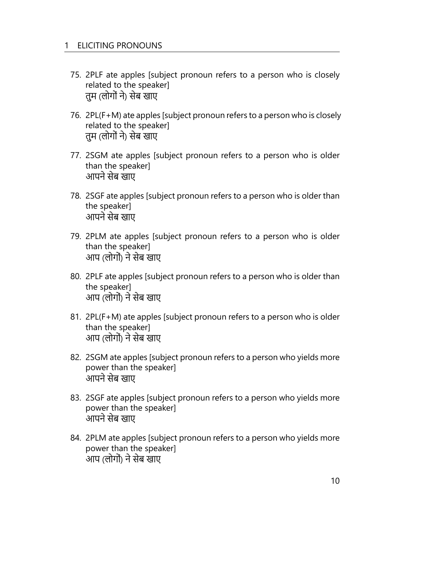- 75. 2PLF ate apples [subject pronoun refers to a person who is closely related to the speaker] तुम (लोगों ने) सेब खाए
- 76. 2PL(F+M) ate apples [subject pronoun refers to a person who is closely related to the speaker] तुम (लोगों ने) सेब खाए
- 77. 2SGM ate apples [subject pronoun refers to a person who is older than the speaker] आपने सेब खाए
- 78. 2SGF ate apples [subject pronoun refers to a person who is older than the speaker] आपने सेब खाए
- 79. 2PLM ate apples [subject pronoun refers to a person who is older than the speaker] आप (लोगों) ने सेब खाए
- 80. 2PLF ate apples [subject pronoun refers to a person who is older than the speaker] आप (लोगों) ने सेब खाए
- 81. 2PL(F+M) ate apples [subject pronoun refers to a person who is older than the speaker] आप (लोगों) ने सेब खाए
- 82. 2SGM ate apples [subject pronoun refers to a person who yields more power than the speaker] आपने सेब खाए
- 83. 2SGF ate apples [subject pronoun refers to a person who yields more power than the speaker] आपने सेब खाए
- 84. 2PLM ate apples [subject pronoun refers to a person who yields more power than the speaker] आप (लोगों) ने सेब खाए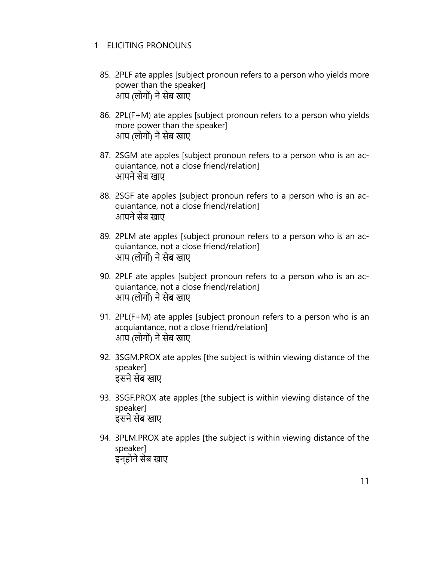- 85. 2PLF ate apples [subject pronoun refers to a person who yields more power than the speaker] आप (लोगों) ने सेब खाए
- 86. 2PL(F+M) ate apples [subject pronoun refers to a person who yields more power than the speaker] आप (लोगों) ने सेब खाए
- 87. 2SGM ate apples [subject pronoun refers to a person who is an acquiantance, not a close friend/relation] आपने सेब खाए
- 88. 2SGF ate apples [subject pronoun refers to a person who is an acquiantance, not a close friend/relation] आपने सेब खाए
- 89. 2PLM ate apples [subject pronoun refers to a person who is an acquiantance, not a close friend/relation] आप (लोगों) ने सेब खाए
- 90. 2PLF ate apples [subject pronoun refers to a person who is an acquiantance, not a close friend/relation] आप (लोगों) ने सेब खाए
- 91. 2PL(F+M) ate apples [subject pronoun refers to a person who is an acquiantance, not a close friend/relation] आप (लोगों) ने सेब खाए
- 92. 3SGM.PROX ate apples [the subject is within viewing distance of the speaker] इसने सेब खाए
- 93. 3SGF.PROX ate apples [the subject is within viewing distance of the speaker] इसने सेब खाए
- 94. 3PLM.PROX ate apples [the subject is within viewing distance of the speaker] इन्होने सेब खाए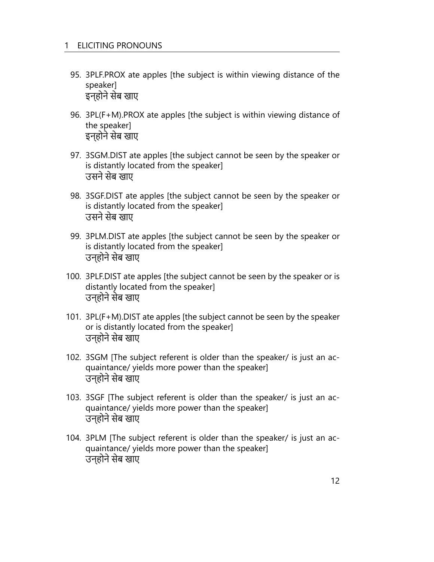- 95. 3PLF.PROX ate apples [the subject is within viewing distance of the speaker] इन्होने सेब खाए
- 96. 3PL(F+M).PROX ate apples [the subject is within viewing distance of the speaker] इन्होने सेब खाए
- 97. 3SGM.DIST ate apples [the subject cannot be seen by the speaker or is distantly located from the speaker] उसने सेब खाए
- 98. 3SGF.DIST ate apples [the subject cannot be seen by the speaker or is distantly located from the speaker] उसने सेब खाए
- 99. 3PLM.DIST ate apples [the subject cannot be seen by the speaker or is distantly located from the speaker] उन्होने सेब खाए
- 100. 3PLF.DIST ate apples [the subject cannot be seen by the speaker or is distantly located from the speaker] उन्होने सेब खाए
- 101. 3PL(F+M).DIST ate apples [the subject cannot be seen by the speaker or is distantly located from the speaker] उन्होने सेब खाए
- 102. 3SGM [The subject referent is older than the speaker/ is just an acquaintance/ yields more power than the speaker] उन्होने सेब खाए
- 103. 3SGF [The subject referent is older than the speaker/ is just an acquaintance/ yields more power than the speaker] उन्होने सेब खाए
- 104. 3PLM [The subject referent is older than the speaker/ is just an acquaintance/ yields more power than the speaker] उन्होने सेब खाए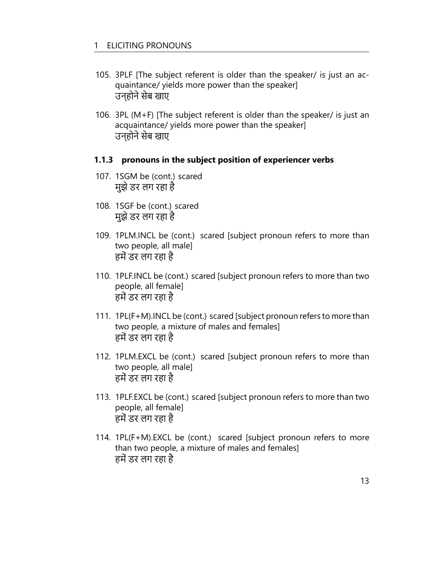- 105. 3PLF [The subject referent is older than the speaker/ is just an acquaintance/ yields more power than the speaker] उन्होने सेब खाए
- 106. 3PL (M+F) [The subject referent is older than the speaker/ is just an acquaintance/ yields more power than the speaker] उन्होने सेब खाए

#### **1.1.3 pronouns in the subject position of experiencer verbs**

- 107. 1SGM be (cont.) scared मुझे डर लग रहा है
- 108. 1SGF be (cont.) scared मुझे डर लग रहा है
- 109. 1PLM.INCL be (cont.) scared [subject pronoun refers to more than two people, all male] हमें डर लग रहा है
- 110. 1PLF.INCL be (cont.) scared [subject pronoun refers to more than two people, all female] हमें डर लग रहा है
- 111. 1PL(F+M).INCL be (cont.) scared [subject pronoun refers to more than two people, a mixture of males and females] हमें डर लग रहा है
- 112. 1PLM.EXCL be (cont.) scared [subject pronoun refers to more than two people, all male] हमें डर लग रहा है
- 113. 1PLF.EXCL be (cont.) scared [subject pronoun refers to more than two people, all female] हमें डर लग रहा है
- 114. 1PL(F+M).EXCL be (cont.) scared [subject pronoun refers to more than two people, a mixture of males and females] हमें डर लग रहा है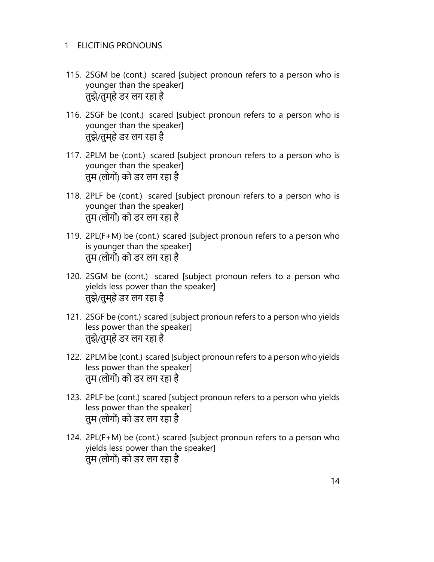- 115. 2SGM be (cont.) scared [subject pronoun refers to a person who is younger than the speaker] तुझे/तुम्हे डर लग रहा है
- 116. 2SGF be (cont.) scared [subject pronoun refers to a person who is younger than the speaker] तुझे/तुम्हे डर लग रहा है
- 117. 2PLM be (cont.) scared [subject pronoun refers to a person who is younger than the speaker] तुम (लोगों) को डर लग रहा है
- 118. 2PLF be (cont.) scared [subject pronoun refers to a person who is younger than the speaker] तुम (लोगों) को डर लग रहा है
- 119. 2PL(F+M) be (cont.) scared [subject pronoun refers to a person who is younger than the speaker] तुम (लोगों) को डर लग रहा है
- 120. 2SGM be (cont.) scared [subject pronoun refers to a person who yields less power than the speaker] तुझे/तुम्हे डर लग रहा है
- 121. 2SGF be (cont.) scared [subject pronoun refers to a person who yields less power than the speaker] तुझे/तुम्हे डर लग रहा है
- 122. 2PLM be (cont.) scared [subject pronoun refers to a person who yields less power than the speaker] तुम (लोगों) को डर लग रहा है
- 123. 2PLF be (cont.) scared [subject pronoun refers to a person who yields less power than the speaker] तुम (लोगों) को डर लग रहा है
- 124. 2PL(F+M) be (cont.) scared [subject pronoun refers to a person who yields less power than the speaker] तुम (लोगों) को डर लग रहा है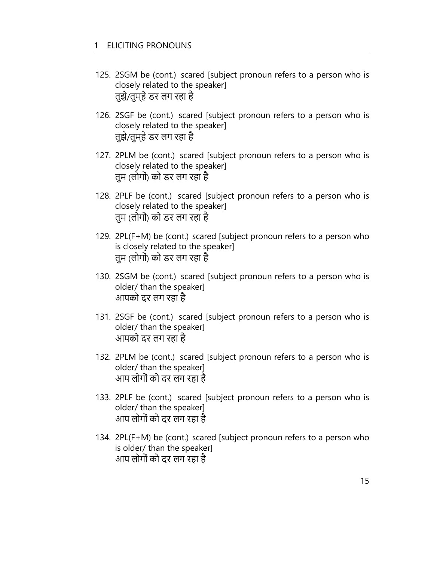- 125. 2SGM be (cont.) scared [subject pronoun refers to a person who is closely related to the speaker] तुझे/तुम्हे डर लग रहा है
- 126. 2SGF be (cont.) scared [subject pronoun refers to a person who is closely related to the speaker] तुझे/तुम्हे डर लग रहा है
- 127. 2PLM be (cont.) scared [subject pronoun refers to a person who is closely related to the speaker] तुम (लोगों) को डर लग रहा है
- 128. 2PLF be (cont.) scared [subject pronoun refers to a person who is closely related to the speaker] तुम (लोगों) को डर लग रहा है
- 129. 2PL(F+M) be (cont.) scared [subject pronoun refers to a person who is closely related to the speaker] तुम (लोगों) को डर लग रहा है
- 130. 2SGM be (cont.) scared [subject pronoun refers to a person who is older/ than the speaker] आपको दर लग रहा है
- 131. 2SGF be (cont.) scared [subject pronoun refers to a person who is older/ than the speaker] आपको दर लग रहा है
- 132. 2PLM be (cont.) scared [subject pronoun refers to a person who is older/ than the speaker] आप लोगों को दर लग रहा है
- 133. 2PLF be (cont.) scared [subject pronoun refers to a person who is older/ than the speaker] आप लोगों को दर लग रहा है
- 134. 2PL(F+M) be (cont.) scared [subject pronoun refers to a person who is older/ than the speaker] आप लोगों को दर लग रहा है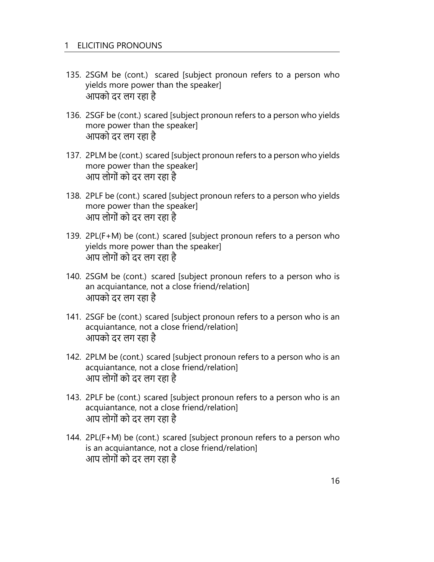- 135. 2SGM be (cont.) scared [subject pronoun refers to a person who yields more power than the speaker] आपको दर लग रहा है
- 136. 2SGF be (cont.) scared [subject pronoun refers to a person who yields more power than the speaker] आपको दर लग रहा है
- 137. 2PLM be (cont.) scared [subject pronoun refers to a person who yields more power than the speaker] आप लोगों को दर लग रहा है
- 138. 2PLF be (cont.) scared [subject pronoun refers to a person who yields more power than the speaker] आप लोगों को दर लग रहा है
- 139. 2PL(F+M) be (cont.) scared [subject pronoun refers to a person who yields more power than the speaker] आप लोगों को दर लग रहा है
- 140. 2SGM be (cont.) scared [subject pronoun refers to a person who is an acquiantance, not a close friend/relation] आपको दर लग रहा है
- 141. 2SGF be (cont.) scared [subject pronoun refers to a person who is an acquiantance, not a close friend/relation] आपको दर लग रहा है
- 142. 2PLM be (cont.) scared [subject pronoun refers to a person who is an acquiantance, not a close friend/relation] आप लोगों को दर लग रहा है
- 143. 2PLF be (cont.) scared [subject pronoun refers to a person who is an acquiantance, not a close friend/relation] आप लोगों को दर लग रहा है
- 144. 2PL(F+M) be (cont.) scared [subject pronoun refers to a person who is an acquiantance, not a close friend/relation] आप लोगों को दर लग रहा है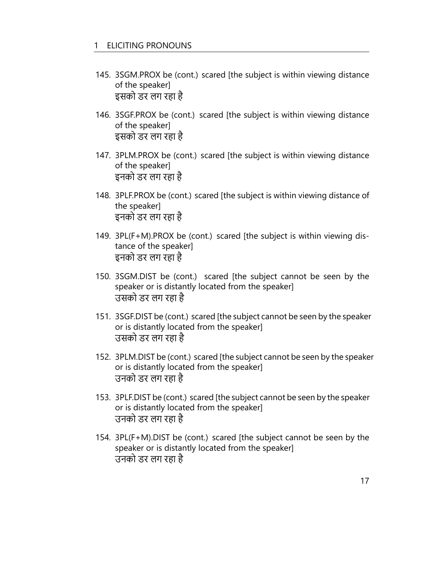- 145. 3SGM.PROX be (cont.) scared [the subject is within viewing distance of the speaker] इसको डर लग रहा है
- 146. 3SGF.PROX be (cont.) scared [the subject is within viewing distance of the speaker] इसको डर लग रहा है
- 147. 3PLM.PROX be (cont.) scared [the subject is within viewing distance of the speaker] इनको डर लग रहा है
- 148. 3PLF.PROX be (cont.) scared [the subject is within viewing distance of the speaker] इनको डर लग रहा है
- 149. 3PL(F+M).PROX be (cont.) scared [the subject is within viewing distance of the speaker] इनको डर लग रहा है
- 150. 3SGM.DIST be (cont.) scared [the subject cannot be seen by the speaker or is distantly located from the speaker] उसको डर लग रहा है
- 151. 3SGF.DIST be (cont.) scared [the subject cannot be seen by the speaker or is distantly located from the speaker] उसको डर लग रहा है
- 152. 3PLM.DIST be (cont.) scared [the subject cannot be seen by the speaker or is distantly located from the speaker] उनको डर लग रहा है
- 153. 3PLF.DIST be (cont.) scared [the subject cannot be seen by the speaker or is distantly located from the speaker] उनको डर लग रहा है
- 154. 3PL(F+M).DIST be (cont.) scared [the subject cannot be seen by the speaker or is distantly located from the speaker] उनको डर लग रहा है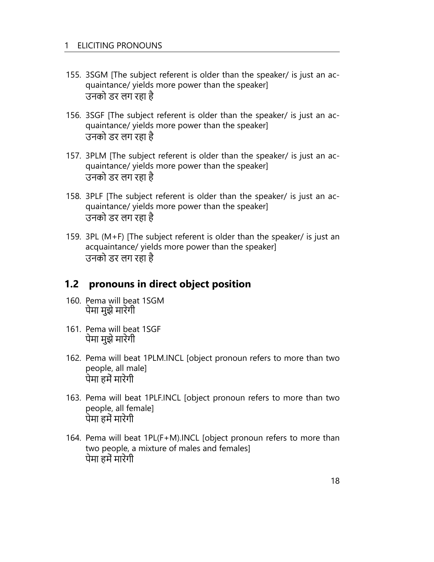- 155. 3SGM [The subject referent is older than the speaker/ is just an acquaintance/ yields more power than the speaker] उनको डर लग रहा है
- 156. 3SGF [The subject referent is older than the speaker/ is just an acquaintance/ yields more power than the speaker] उनको डर लग रहा है
- 157. 3PLM [The subject referent is older than the speaker/ is just an acquaintance/ yields more power than the speaker] उनको डर लग रहा है
- 158. 3PLF [The subject referent is older than the speaker/ is just an acquaintance/ yields more power than the speaker] उनको डर लग रहा है
- 159. 3PL (M+F) [The subject referent is older than the speaker/ is just an acquaintance/ yields more power than the speaker] उनको डर लग रहा है

### **1.2 pronouns in direct object position**

- 160. Pema will beat 1SGM पेमा मुझे मारेगी
- 161. Pema will beat 1SGF पेमा मुझे मारेगी
- 162. Pema will beat 1PLM.INCL [object pronoun refers to more than two people, all male] पेमा हमें मारेगी
- 163. Pema will beat 1PLF.INCL [object pronoun refers to more than two people, all female] पेमा हमें मारेगी
- 164. Pema will beat 1PL(F+M).INCL [object pronoun refers to more than two people, a mixture of males and females] पेमा हमें मारेगी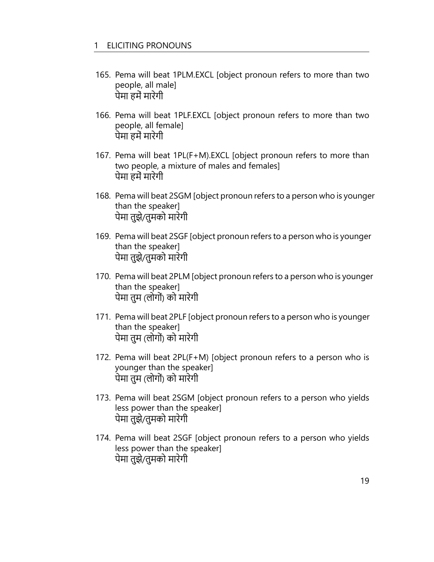- 165. Pema will beat 1PLM.EXCL [object pronoun refers to more than two people, all male] पेमा हमें मारेगी
- 166. Pema will beat 1PLF.EXCL [object pronoun refers to more than two people, all female] पेमा हमें मारेगी
- 167. Pema will beat 1PL(F+M).EXCL [object pronoun refers to more than two people, a mixture of males and females] पेमा हमें मारेगी
- 168. Pema will beat 2SGM [object pronoun refers to a person who is younger than the speaker] पेमा तुझे/तुमको मारेगी
- 169. Pema will beat 2SGF [object pronoun refers to a person who is younger than the speaker] पेमा तुझे/तुमको मारेगी
- 170. Pema will beat 2PLM [object pronoun refers to a person who is younger than the speaker] पेमा तुम (लोगों) को मारेगी
- 171. Pema will beat 2PLF [object pronoun refers to a person who is younger than the speaker] पेमा तुम (लोगों) को मारेगी
- 172. Pema will beat 2PL(F+M) [object pronoun refers to a person who is younger than the speaker] पेमा तुम (लोगों) को मारेगी
- 173. Pema will beat 2SGM [object pronoun refers to a person who yields less power than the speaker] पेमा तुझे/तुमको मारेगी
- 174. Pema will beat 2SGF [object pronoun refers to a person who yields less power than the speaker] पेमा तुझे/तुमको मारेगी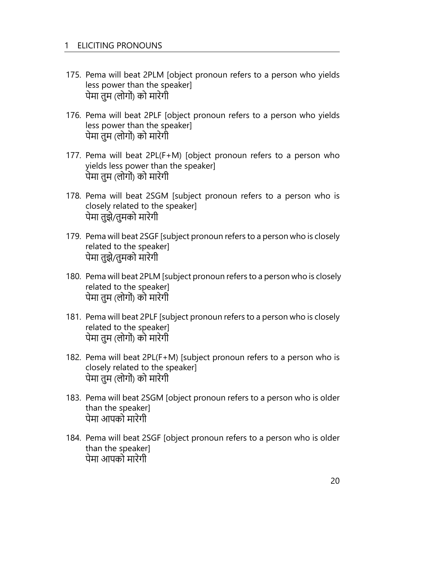- 175. Pema will beat 2PLM [object pronoun refers to a person who yields less power than the speaker] पेमा तुम (लोगों) को मारेगी
- 176. Pema will beat 2PLF [object pronoun refers to a person who yields less power than the speaker] पेमा तुम (लोगों) को मारेगी
- 177. Pema will beat 2PL(F+M) [object pronoun refers to a person who yields less power than the speaker] पेमा तुम (लोगों) को मारेगी
- 178. Pema will beat 2SGM [subject pronoun refers to a person who is closely related to the speaker] पेमा तुझे/तुमको मारेगी
- 179. Pema will beat 2SGF [subject pronoun refers to a person who is closely related to the speaker] पेमा तुझे/तुमको मारेगी
- 180. Pema will beat 2PLM [subject pronoun refers to a person who is closely related to the speaker] पेमा तुम (लोगों) को मारेगी
- 181. Pema will beat 2PLF [subject pronoun refers to a person who is closely related to the speaker] पेमा तुम (लोगों) को मारेगी
- 182. Pema will beat 2PL(F+M) [subject pronoun refers to a person who is closely related to the speaker] पेमा तुम (लोगों) को मारेगी
- 183. Pema will beat 2SGM [object pronoun refers to a person who is older than the speaker] पेमा आपको मारेगी
- 184. Pema will beat 2SGF [object pronoun refers to a person who is older than the speaker] पेमा आपको मारेगी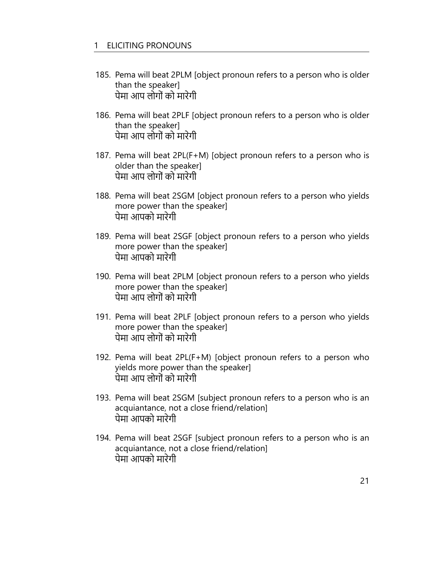- 185. Pema will beat 2PLM [object pronoun refers to a person who is older than the speaker] पेमा आप लोगों को मारेगी
- 186. Pema will beat 2PLF [object pronoun refers to a person who is older than the speaker] पेमा आप लोगों को मारेगी
- 187. Pema will beat 2PL(F+M) [object pronoun refers to a person who is older than the speaker] पेमा आप लोगों को मारेगी
- 188. Pema will beat 2SGM [object pronoun refers to a person who yields more power than the speaker] पेमा आपको मारेगी
- 189. Pema will beat 2SGF [object pronoun refers to a person who yields more power than the speaker] पेमा आपको मारेगी
- 190. Pema will beat 2PLM [object pronoun refers to a person who yields more power than the speaker] पेमा आप लोगों को मारेगी
- 191. Pema will beat 2PLF [object pronoun refers to a person who yields more power than the speaker] पेमा आप लोगों को मारेगी
- 192. Pema will beat 2PL(F+M) [object pronoun refers to a person who yields more power than the speaker] पेमा आप लोगों को मारेगी
- 193. Pema will beat 2SGM [subject pronoun refers to a person who is an acquiantance, not a close friend/relation] पेमा आपको मारेगी
- 194. Pema will beat 2SGF [subject pronoun refers to a person who is an acquiantance, not a close friend/relation] पेमा आपको मारेगी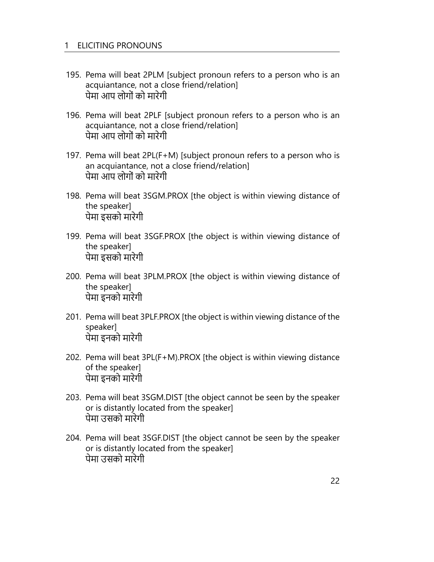- 195. Pema will beat 2PLM [subject pronoun refers to a person who is an acquiantance, not a close friend/relation] पेमा आप लोगों को मारेगी
- 196. Pema will beat 2PLF [subject pronoun refers to a person who is an acquiantance, not a close friend/relation] पेमा आप लोगों को मारेगी
- 197. Pema will beat 2PL(F+M) [subject pronoun refers to a person who is an acquiantance, not a close friend/relation] पेमा आप लोगों को मारेगी
- 198. Pema will beat 3SGM.PROX [the object is within viewing distance of the speaker] पेमा इसको मारेगी
- 199. Pema will beat 3SGF.PROX [the object is within viewing distance of the speaker] पेमा इसको मारेगी
- 200. Pema will beat 3PLM.PROX [the object is within viewing distance of the speaker] पेमा इनको मारेगी
- 201. Pema will beat 3PLF.PROX [the object is within viewing distance of the speaker] पेमा इनको मारेगी
- 202. Pema will beat 3PL(F+M).PROX [the object is within viewing distance of the speaker] पेमा इनको मारेगी
- 203. Pema will beat 3SGM.DIST [the object cannot be seen by the speaker or is distantly located from the speaker] पेमा उसको मारेगी
- 204. Pema will beat 3SGF.DIST [the object cannot be seen by the speaker or is distantly located from the speaker] पेमा उसको मारेगी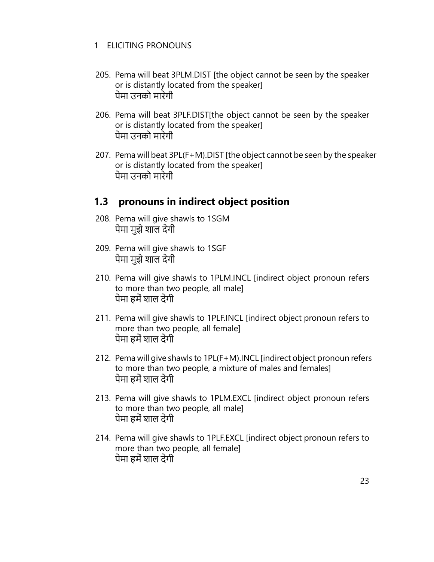- 205. Pema will beat 3PLM.DIST [the object cannot be seen by the speaker or is distantly located from the speaker] पेमा उनको मारेगी
- 206. Pema will beat 3PLF.DIST[the object cannot be seen by the speaker or is distantly located from the speaker] पेमा उनको मारेगी
- 207. Pema will beat 3PL(F+M).DIST [the object cannot be seen by the speaker or is distantly located from the speaker] पेमा उनको मारेगी

### **1.3 pronouns in indirect object position**

- 208. Pema will give shawls to 1SGM पेमा मुझे शाल देगी
- 209. Pema will give shawls to 1SGF पेमा मुझे शाल देगी
- 210. Pema will give shawls to 1PLM.INCL [indirect object pronoun refers to more than two people, all male] पेमा हमें शाल देगी
- 211. Pema will give shawls to 1PLF.INCL [indirect object pronoun refers to more than two people, all female] पेमा हमें शाल देगी
- 212. Pema will give shawls to 1PL(F+M).INCL [indirect object pronoun refers to more than two people, a mixture of males and females] पेमा हमें शाल देगी
- 213. Pema will give shawls to 1PLM.EXCL [indirect object pronoun refers to more than two people, all male] पेमा हमें शाल देगी
- 214. Pema will give shawls to 1PLF.EXCL [indirect object pronoun refers to more than two people, all female] पेमा हमें शाल देगी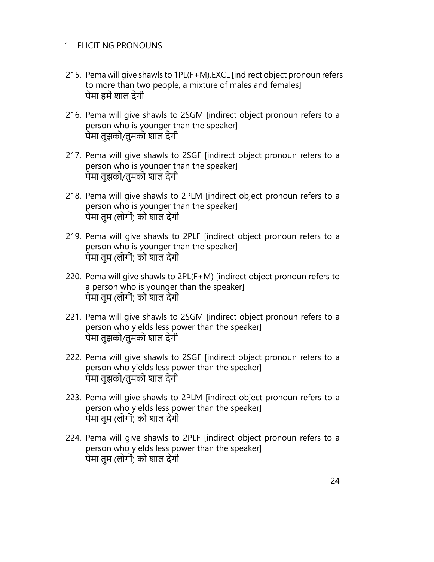- 215. Pema will give shawls to 1PL(F+M).EXCL [indirect object pronoun refers to more than two people, a mixture of males and females] पेमा हमें शाल देगी
- 216. Pema will give shawls to 2SGM [indirect object pronoun refers to a person who is younger than the speaker] पेमा तुझको/तुमको शाल देगी
- 217. Pema will give shawls to 2SGF [indirect object pronoun refers to a person who is younger than the speaker] पेमा तुझको/तुमको शाल देगी
- 218. Pema will give shawls to 2PLM [indirect object pronoun refers to a person who is younger than the speaker] पेमा तुम (लोगों) को शाल देगी
- 219. Pema will give shawls to 2PLF [indirect object pronoun refers to a person who is younger than the speaker] पेमा तुम (लोगों) को शाल देगी
- 220. Pema will give shawls to 2PL(F+M) [indirect object pronoun refers to a person who is younger than the speaker] पेमा तुम (लोगों) को शाल देगी
- 221. Pema will give shawls to 2SGM [indirect object pronoun refers to a person who yields less power than the speaker] पेमा तुझको/तुमको शाल देगी
- 222. Pema will give shawls to 2SGF [indirect object pronoun refers to a person who yields less power than the speaker] पेमा तुझको/तुमको शाल देगी
- 223. Pema will give shawls to 2PLM [indirect object pronoun refers to a person who yields less power than the speaker] पेमा तुम (लोगों) को शाल देगी
- 224. Pema will give shawls to 2PLF [indirect object pronoun refers to a person who yields less power than the speaker] पेमा तुम (लोगों) को शाल देगी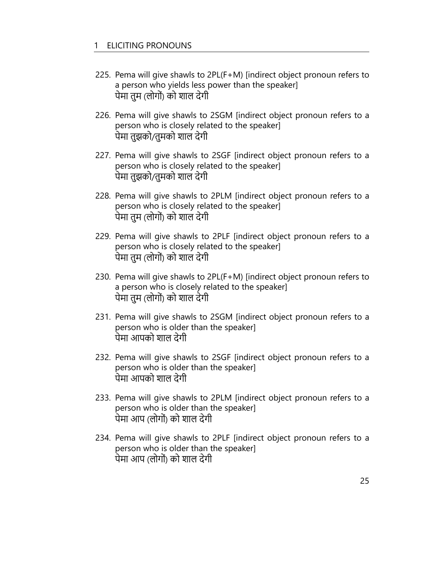- 225. Pema will give shawls to 2PL(F+M) [indirect object pronoun refers to a person who yields less power than the speaker] पेमा तुम (लोगों) को शाल देगी
- 226. Pema will give shawls to 2SGM [indirect object pronoun refers to a person who is closely related to the speaker] पेमा तुझको/तुमको शाल देगी
- 227. Pema will give shawls to 2SGF [indirect object pronoun refers to a person who is closely related to the speaker] पेमा तुझको/तुमको शाल देगी
- 228. Pema will give shawls to 2PLM [indirect object pronoun refers to a person who is closely related to the speaker] पेमा तुम (लोगों) को शाल देगी
- 229. Pema will give shawls to 2PLF [indirect object pronoun refers to a person who is closely related to the speaker] पेमा तुम (लोगों) को शाल देगी
- 230. Pema will give shawls to 2PL(F+M) [indirect object pronoun refers to a person who is closely related to the speaker] पेमा तुम (लोगों) को शाल देगी
- 231. Pema will give shawls to 2SGM [indirect object pronoun refers to a person who is older than the speaker] पेमा आपको शाल देगी
- 232. Pema will give shawls to 2SGF [indirect object pronoun refers to a person who is older than the speaker] पेमा आपको शाल देगी
- 233. Pema will give shawls to 2PLM [indirect object pronoun refers to a person who is older than the speaker] पेमा आप (लोगों) को शाल देगी
- 234. Pema will give shawls to 2PLF [indirect object pronoun refers to a person who is older than the speaker] पेमा आप (लोगों) को शाल देगी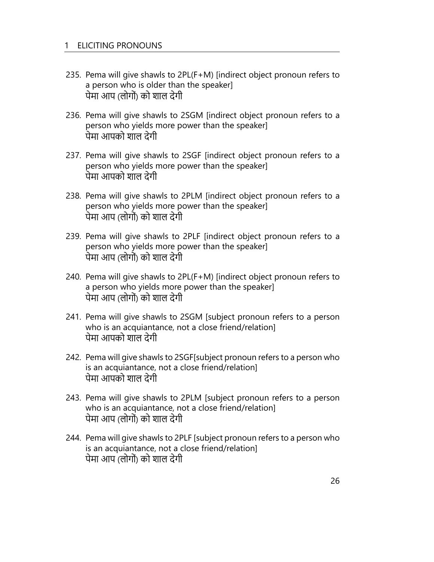- 235. Pema will give shawls to 2PL(F+M) [indirect object pronoun refers to a person who is older than the speaker] पेमा आप (लोगों) को शाल देगी
- 236. Pema will give shawls to 2SGM [indirect object pronoun refers to a person who yields more power than the speaker] पेमा आपको शाल देगी
- 237. Pema will give shawls to 2SGF [indirect object pronoun refers to a person who yields more power than the speaker] पेमा आपको शाल देगी
- 238. Pema will give shawls to 2PLM [indirect object pronoun refers to a person who yields more power than the speaker] पेमा आप (लोगों) को शाल देगी
- 239. Pema will give shawls to 2PLF [indirect object pronoun refers to a person who yields more power than the speaker] पेमा आप (लोगों) को शाल देगी
- 240. Pema will give shawls to 2PL(F+M) [indirect object pronoun refers to a person who yields more power than the speaker] पेमा आप (लोगों) को शाल देगी
- 241. Pema will give shawls to 2SGM [subject pronoun refers to a person who is an acquiantance, not a close friend/relation] पेमा आपको शाल देगी
- 242. Pema will give shawls to 2SGF[subject pronoun refers to a person who is an acquiantance, not a close friend/relation] पेमा आपको शाल देगी
- 243. Pema will give shawls to 2PLM [subject pronoun refers to a person who is an acquiantance, not a close friend/relation] पेमा आप (लोगों) को शाल देगी
- 244. Pema will give shawls to 2PLF [subject pronoun refers to a person who is an acquiantance, not a close friend/relation] पेमा आप (लोगों) को शाल देगी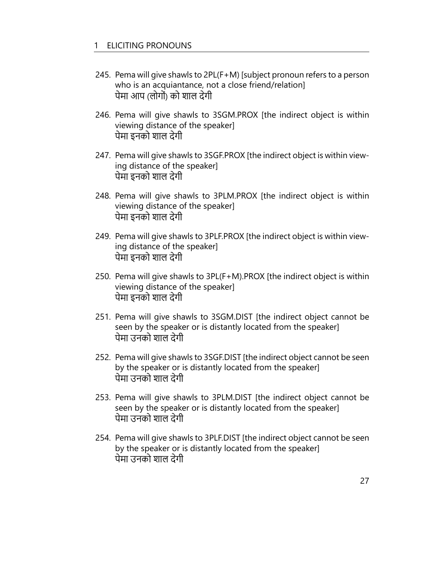- 245. Pema will give shawls to 2PL(F+M) [subject pronoun refers to a person who is an acquiantance, not a close friend/relation] पेमा आप (लोगों) को शाल देगी
- 246. Pema will give shawls to 3SGM.PROX [the indirect object is within viewing distance of the speaker] पेमा इनको शाल देगी
- 247. Pema will give shawls to 3SGF.PROX [the indirect object is within viewing distance of the speaker] पेमा इनको शाल देगी
- 248. Pema will give shawls to 3PLM.PROX [the indirect object is within viewing distance of the speaker] पेमा इनको शाल देगी
- 249. Pema will give shawls to 3PLF.PROX [the indirect object is within viewing distance of the speaker] पेमा इनको शाल देगी
- 250. Pema will give shawls to 3PL(F+M).PROX [the indirect object is within viewing distance of the speaker] पेमा इनको शाल देगी
- 251. Pema will give shawls to 3SGM.DIST [the indirect object cannot be seen by the speaker or is distantly located from the speaker] पेमा उनको शाल देगी
- 252. Pema will give shawls to 3SGF.DIST [the indirect object cannot be seen by the speaker or is distantly located from the speaker] पेमा उनको शाल देगी
- 253. Pema will give shawls to 3PLM.DIST [the indirect object cannot be seen by the speaker or is distantly located from the speaker] पेमा उनको शाल देगी
- 254. Pema will give shawls to 3PLF.DIST [the indirect object cannot be seen by the speaker or is distantly located from the speaker] पेमा उनको शाल देगी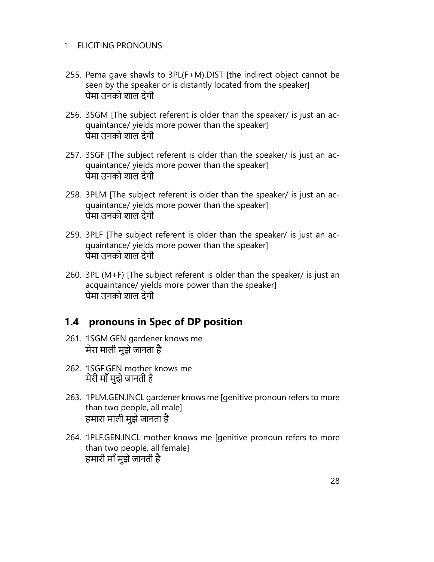- 255. Pema gave shawls to 3PL(F+M).DIST [the indirect object cannot be seen by the speaker or is distantly located from the speaker] पेमा उनको शाल देगी
- 256. 3SGM [The subject referent is older than the speaker/ is just an acquaintance/ yields more power than the speaker] पेमा उनको शाल देगी
- 257. 3SGF [The subject referent is older than the speaker/ is just an acquaintance/ yields more power than the speaker] पेमा उनको शाल देगी
- 258. 3PLM [The subject referent is older than the speaker/ is just an acquaintance/ yields more power than the speaker] पेमा उनको शाल देगी
- 259. 3PLF [The subject referent is older than the speaker/ is just an acquaintance/ yields more power than the speaker] पेमा उनको शाल देगी
- 260. 3PL (M+F) [The subject referent is older than the speaker/ is just an acquaintance/ yields more power than the speaker] पेमा उनको शाल देगी

### **1.4 pronouns in Spec of DP position**

- 261. 1SGM.GEN gardener knows me मेरा माली मुझे जानता है
- 262. 1SGF.GEN mother knows me मेरी माँ मुझे जानती है
- 263. 1PLM.GEN.INCL gardener knows me [genitive pronoun refers to more than two people, all male] हमारा माली मुझे जानता है
- 264. 1PLF.GEN.INCL mother knows me [genitive pronoun refers to more than two people, all female] हमारी माँ मुझे जानती है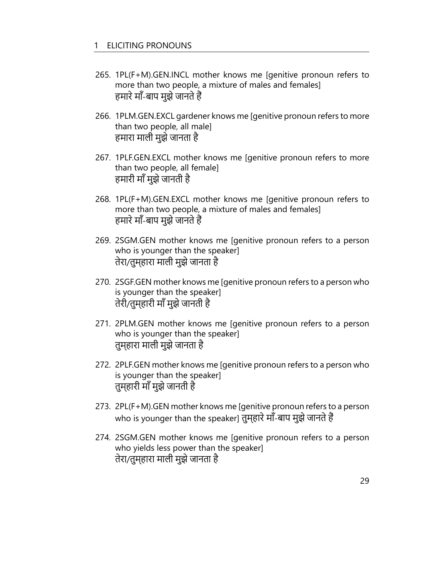- 265. 1PL(F+M).GEN.INCL mother knows me [genitive pronoun refers to more than two people, a mixture of males and females] हमारे माँ-बाप मुझे जानते हैं
- 266. 1PLM.GEN.EXCL gardener knows me [genitive pronoun refers to more than two people, all male] हमारा माली मुझे जानता है
- 267. 1PLF.GEN.EXCL mother knows me [genitive pronoun refers to more than two people, all female] हमारी माँ मुझे जानती है
- 268. 1PL(F+M).GEN.EXCL mother knows me [genitive pronoun refers to more than two people, a mixture of males and females] हमारे माँ-बाप मुझे जानते हैं
- 269. 2SGM.GEN mother knows me [genitive pronoun refers to a person who is younger than the speaker] तेरा/तुम्हारा माली मुझे जानता है
- 270. 2SGF.GEN mother knows me [genitive pronoun refers to a person who is younger than the speaker] तेरी/तुम्हारी माँ मुझे जानती है
- 271. 2PLM.GEN mother knows me [genitive pronoun refers to a person who is younger than the speaker] तुम्हारा माली मुझे जानता है
- 272. 2PLF.GEN mother knows me [genitive pronoun refers to a person who is younger than the speaker] तुम्हारी माँ मुझे जानती है
- 273. 2PL(F+M).GEN mother knows me [genitive pronoun refers to a person who is younger than the speaker] तुम्हारे माँ-बाप मुझे जानते हैं
- 274. 2SGM.GEN mother knows me [genitive pronoun refers to a person who yields less power than the speaker] तेरा/तुम्हारा माली मुझे जानता है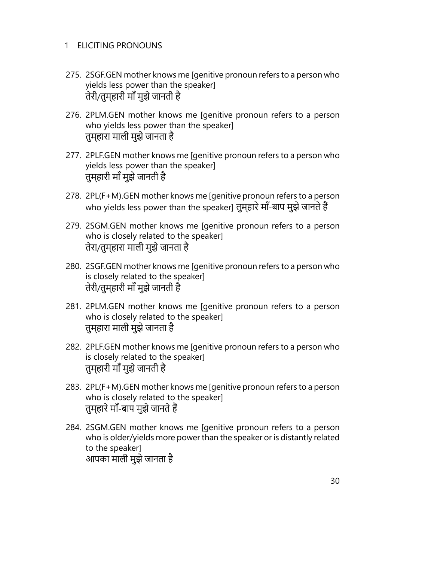- 275. 2SGF.GEN mother knows me [genitive pronoun refers to a person who yields less power than the speaker] तेरी/तुम्हारी माँ मुझे जानती है
- 276. 2PLM.GEN mother knows me [genitive pronoun refers to a person who yields less power than the speaker] तुम्हारा माली मुझे जानता है
- 277. 2PLF.GEN mother knows me [genitive pronoun refers to a person who yields less power than the speaker] तुम्हारी माँ मुझे जानती है
- 278. 2PL(F+M).GEN mother knows me [genitive pronoun refers to a person who yields less power than the speaker] तुम्हारे माँ-बाप मुझे जानते हैं
- 279. 2SGM.GEN mother knows me [genitive pronoun refers to a person who is closely related to the speaker] तेरा/तुम्हारा माली मुझे जानता है
- 280. 2SGF.GEN mother knows me [genitive pronoun refers to a person who is closely related to the speaker] तेरी/तुम्हारी माँ मुझे जानती है
- 281. 2PLM.GEN mother knows me [genitive pronoun refers to a person who is closely related to the speaker] तुम्हारा माली मुझे जानता है
- 282. 2PLF.GEN mother knows me [genitive pronoun refers to a person who is closely related to the speaker] तुम्हारी माँ मुझे जानती है
- 283. 2PL(F+M).GEN mother knows me [genitive pronoun refers to a person who is closely related to the speaker] तुम्हारे माँ-बाप मुझे जानते हैं
- 284. 2SGM.GEN mother knows me [genitive pronoun refers to a person who is older/yields more power than the speaker or is distantly related to the speaker] आपका माली मुझे जानता है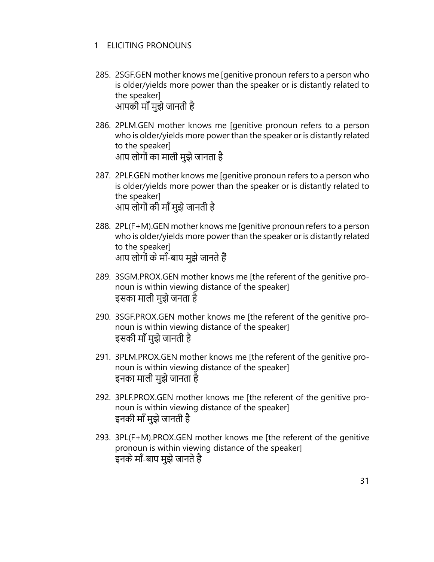- 285. 2SGF.GEN mother knows me [genitive pronoun refers to a person who is older/yields more power than the speaker or is distantly related to the speaker] आपकी माँ मुझे जानती है
- 286. 2PLM.GEN mother knows me [genitive pronoun refers to a person who is older/yields more power than the speaker or is distantly related to the speaker] आप लोगों का माली मुझे जानता है
- 287. 2PLF.GEN mother knows me [genitive pronoun refers to a person who is older/yields more power than the speaker or is distantly related to the speaker] आप लोगों की माँ मुझे जानती है
- 288. 2PL(F+M).GEN mother knows me [genitive pronoun refers to a person who is older/yields more power than the speaker or is distantly related to the speaker] आप लोगों के माँ-बाप मुझे जानते हैं
- 289. 3SGM.PROX.GEN mother knows me [the referent of the genitive pronoun is within viewing distance of the speaker] इसका माली मुझे जनता है
- 290. 3SGF.PROX.GEN mother knows me [the referent of the genitive pronoun is within viewing distance of the speaker] इसकी माँ मुझे जानती है
- 291. 3PLM.PROX.GEN mother knows me [the referent of the genitive pronoun is within viewing distance of the speaker] इनका माली मुझे जानता है
- 292. 3PLF.PROX.GEN mother knows me [the referent of the genitive pronoun is within viewing distance of the speaker] इनकी माँ मुझे जानती है
- 293. 3PL(F+M).PROX.GEN mother knows me [the referent of the genitive pronoun is within viewing distance of the speaker] इनके माँ-बाप मुझे जानते है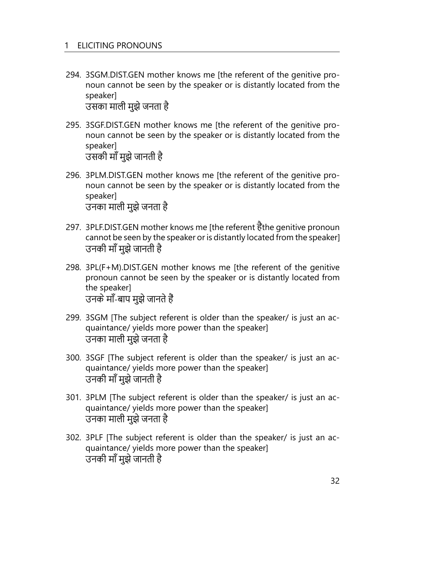294. 3SGM.DIST.GEN mother knows me [the referent of the genitive pronoun cannot be seen by the speaker or is distantly located from the speaker]

उसका माली मुझे जनता है

- 295. 3SGF.DIST.GEN mother knows me [the referent of the genitive pronoun cannot be seen by the speaker or is distantly located from the speaker] उसकी माँ मुझे जानती है
- 296. 3PLM.DIST.GEN mother knows me [the referent of the genitive pronoun cannot be seen by the speaker or is distantly located from the speaker] उनका माली मुझे जनता है
- 297. 3PLF.DIST.GEN mother knows me [the referent हैthe genitive pronoun cannot be seen by the speaker or is distantly located from the speaker] उनकी माँ मुझे जानती है
- 298. 3PL(F+M).DIST.GEN mother knows me [the referent of the genitive pronoun cannot be seen by the speaker or is distantly located from the speaker] उनके माँ-बाप मुझे जानते हैं
- 299. 3SGM [The subject referent is older than the speaker/ is just an acquaintance/ yields more power than the speaker] उनका माली मुझे जनता है
- 300. 3SGF [The subject referent is older than the speaker/ is just an acquaintance/ yields more power than the speaker] उनकी माँ मुझे जानती है
- 301. 3PLM [The subject referent is older than the speaker/ is just an acquaintance/ yields more power than the speaker] उनका माली मुझे जनता है
- 302. 3PLF [The subject referent is older than the speaker/ is just an acquaintance/ yields more power than the speaker] उनकी माँ मुझे जानती है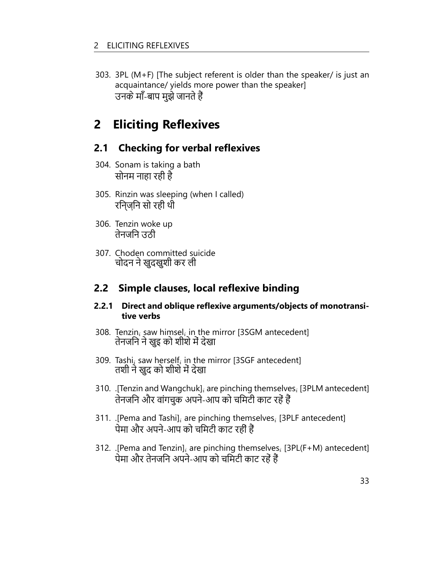303. 3PL (M+F) [The subject referent is older than the speaker/ is just an acquaintance/ yields more power than the speaker] उनके माँ-बाप मुझे जानते हैं

## **2 Eliciting Reflexives**

### **2.1 Checking for verbal reflexives**

- 304. Sonam is taking a bath सोनम नाहा रही है
- 305. Rinzin was sleeping (when I called) रिन्ज़िन सो रही थी
- 306. Tenzin woke up तेनजिन उठी
- 307. Choden committed suicide चोदन ने खुदखुशी कर ली

### **2.2 Simple clauses, local reflexive binding**

#### **2.2.1 Direct and oblique reflexive arguments/objects of monotransitive verbs**

- 308. Tenzin*<sup>i</sup>* saw himsel*<sup>i</sup>* in the mirror [3SGM antecedent] तेनजिन ने खुइ को शीशे में देखा
- 309. Tashi*<sup>i</sup>* saw herself*<sup>i</sup>* in the mirror [3SGF antecedent] तशी ने खुद को शीशे में देखा
- 310. .[Tenzin and Wangchuk]*<sup>i</sup>* are pinching themselves*<sup>i</sup>* [3PLM antecedent] तेनजिन और वांगचुक अपने-आप को चिमटी काट रहें हैं
- 311. .[Pema and Tashi]*<sup>i</sup>* are pinching themselves*<sup>i</sup>* [3PLF antecedent] पेमा और अपने-आप को चिमटी काट रहीं हैं
- 312. .[Pema and Tenzin]*<sup>i</sup>* are pinching themselves*<sup>i</sup>* [3PL(F+M) antecedent] पेमा और तेनजिन अपने-आप को चिमटी काट रहें हैं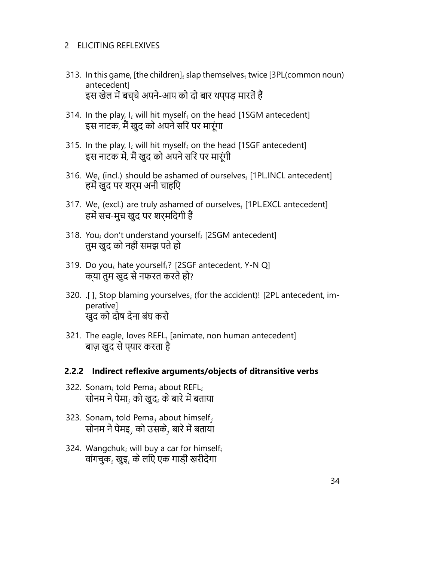- 313. In this game, [the children]*<sup>i</sup>* slap themselves*<sup>i</sup>* twice [3PL(common noun) antecedent] इस खेल में बच्चे अपने-आप को दो बार थप्पड़ मारतें हैं
- 314. In the play, I*<sup>i</sup>* will hit myself*<sup>i</sup>* on the head [1SGM antecedent] इस नाटक, मैं खुद को अपने सिर पर मारूंगा
- 315. In the play, I*<sup>i</sup>* will hit myself*<sup>i</sup>* on the head [1SGF antecedent] इस नाटक में, मैं खुद को अपने सिर पर मारूंगी
- 316. We*<sup>i</sup>* (incl.) should be ashamed of ourselves*<sup>i</sup>* [1PL.INCL antecedent] हमें खुद पर शर्म अनी चाहिए
- 317. We*<sup>i</sup>* (excl.) are truly ashamed of ourselves*<sup>i</sup>* [1PL.EXCL antecedent] हमें सच-मुच खुद पर शर्मिंदगी हैं
- 318. You*<sup>i</sup>* don't understand yourself*<sup>i</sup>* [2SGM antecedent] तुम खुद को नहीं समझ पते हो
- 319. Do you*<sup>i</sup>* hate yourself*i*? [2SGF antecedent, Y-N Q] क्या तुम खुद से नफरत करते हो?
- 320. .[ ]*<sup>i</sup>* Stop blaming yourselves*<sup>i</sup>* (for the accident)! [2PL antecedent, imperative] खुद को दोष देना बंघ करो
- 321. The eagle*<sup>i</sup>* loves REFL*<sup>i</sup>* [animate, non human antecedent] बाज़ खुद से प्यार करता है

#### **2.2.2 Indirect reflexive arguments/objects of ditransitive verbs**

- 322. Sonam*<sup>i</sup>* told Pema*<sup>j</sup>* about REFL*<sup>i</sup>* सोनम ने पेमा*<sup>j</sup>* को खुद*<sup>i</sup>* के बारे में बताया
- 323. Sonam*<sup>i</sup>* told Pema*<sup>j</sup>* about himself*<sup>j</sup>* सोनम ने पेमइ*<sup>j</sup>* को उसके*<sup>j</sup>* बारे में बताया
- 324. Wangchuk*<sup>i</sup>* will buy a car for himself*<sup>i</sup>* वांगचुक*<sup>i</sup>* खुइ*<sup>i</sup>* के लिए एक गाड़ी खरीदेगा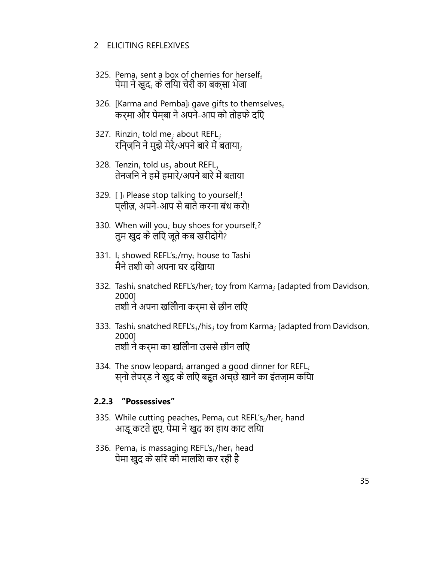- 325. Pema*<sup>i</sup>* sent a box of cherries for herself*<sup>i</sup>* पेमा ने खुद*<sup>i</sup>* के लिया चेरी का बक्सा भेजा
- 326. [Karma and Pemba]<sup>i</sup> gave gifts to themselves*<sup>i</sup>* कर्मा और पेम्बा ने अपने-आप को तोहफे दिए
- 327. Rinzin*<sup>i</sup>* told me*<sup>j</sup>* about REFL*<sup>j</sup>* रिन्ज़िन ने मुझे मेरे/अपने बारे में बताया*<sup>j</sup>*
- 328. Tenzin*<sup>i</sup>* told us*<sup>j</sup>* about REFL*<sup>j</sup>* तेनजिन ने हमें हमारे/अपने बारे में बताया
- 329. [ ]<sup>i</sup> Please stop talking to yourself*<sup>i</sup>* ! प्लीज़, अपने-आप से बाते करना बंध करो!
- 330. When will you*<sup>i</sup>* buy shoes for yourself*i*? तुम खुद के लिए जूते कब खरीदोगे?
- 331. I*<sup>i</sup>* showed REFL's*i*/my*<sup>i</sup>* house to Tashi मैने तशी को अपना घर दिखाया
- 332. Tashi*<sup>i</sup>* snatched REFL's/her*<sup>i</sup>* toy from Karma*<sup>j</sup>* [adapted from Davidson, 2000] तशी ने अपना खिलौना कर्मा से छीन लिए
- 333. Tashi*<sup>i</sup>* snatched REFL's*<sup>j</sup>* /his*<sup>j</sup>* toy from Karma*<sup>j</sup>* [adapted from Davidson, 2000] तशी ने कर्मा का खिलौना उससे छीन लिए
- 334. The snow leopard*<sup>i</sup>* arranged a good dinner for REFL*<sup>i</sup>* स्नो लेपर्ड ने खुद के लिए बहुत अच्छे खाने का इंतज़ाम किया

#### **2.2.3 "Possessives"**

- 335. While cutting peaches, Pema*<sup>i</sup>* cut REFL's*i*/her*<sup>i</sup>* hand आडू कटते हुए, पेमा ने खुद का हाथ काट लिया
- 336. Pema*<sup>i</sup>* is massaging REFL's*i*/her*<sup>i</sup>* head पेमा खुद के सिर की मालिश कर रही है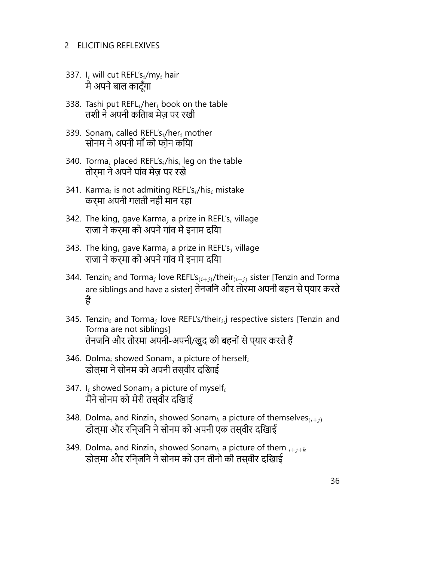- 337. I*<sup>i</sup>* will cut REFL's*i*/my*<sup>i</sup>* hair मै अपने बाल काटूँगा
- 338. Tashi put REFL*i*/her*<sup>i</sup>* book on the table तशी ने अपनी किताब मेज़ पर रखी
- 339. Sonam*<sup>i</sup>* called REFL's*i*/her*<sup>i</sup>* mother सोनम ने अपनी माँ को फ़ोन किया
- 340. Torma*<sup>i</sup>* placed REFL's*i*/his*<sup>i</sup>* leg on the table तोर्मा ने अपने पांव मेज़ पर रखे
- 341. Karma*<sup>i</sup>* is not admiting REFL's*i*/his*<sup>i</sup>* mistake कर्मा अपनी गलती नहीं मान रहा
- 342. The king*<sup>i</sup>* gave Karma*<sup>j</sup>* a prize in REFL's*<sup>i</sup>* village राजा ने कर्मा को अपने गांव में इनाम दिया
- 343. The king*<sup>i</sup>* gave Karma*<sup>j</sup>* a prize in REFL's*<sup>j</sup>* village राजा ने कर्मा को अपने गांव में इनाम दिया
- 344. Tenzin*<sup>i</sup>* and Torma*<sup>j</sup>* love REFL's(*i*+*j*)/their(*i*+*j*) sister [Tenzin and Torma are siblings and have a sister] तेनजिन और तोरमा अपनी बहन से प्यार करते हैं
- 345. Tenzin*<sup>i</sup>* and Torma*<sup>j</sup>* love REFL's/their*<sup>i</sup>* ,j respective sisters [Tenzin and Torma are not siblings] तेनजिन और तोरमा अपनी-अपनी/खुद की बहनों से प्यार करते हैं
- 346. Dolma*<sup>i</sup>* showed Sonam*<sup>j</sup>* a picture of herself*<sup>i</sup>* डोल्मा ने सोनम को अपनी तस्वीर दिखाई
- 347. I*<sup>i</sup>* showed Sonam*<sup>j</sup>* a picture of myself*<sup>i</sup>* मैंने सोनम को मेरी तस्वीर दिखाई
- 348. Dolma<sub>*i*</sub> and Rinzin<sub>*i*</sub> showed Sonam<sub>k</sub> a picture of themselves $(i+j)$ डोल्मा और रिन्जिन ने सोनम को अपनी एक तस्वीर दिखाई
- 349. Dolma*<sup>i</sup>* and Rinzin*<sup>j</sup>* showed Sonam*<sup>k</sup>* a picture of them *<sup>i</sup>*+*j*+*<sup>k</sup>* डोल्मा और रिन्जिन ने सोनम को उन तीनो की तस्वीर दिखाई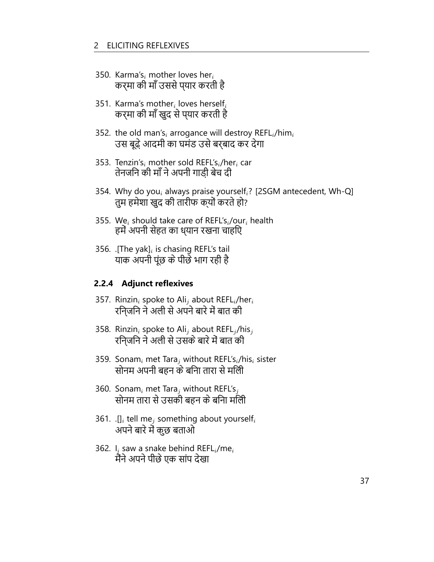- 350. Karma's*<sup>i</sup>* mother loves her*<sup>i</sup>* कर्मा की माँ उससे प्यार करती है
- 351. Karma's mother*<sup>i</sup>* loves herself*<sup>i</sup>* कर्मा की माँ खुद से प्यार करती है
- 352. the old man's*<sup>i</sup>* arrogance will destroy REFL*i*/him*<sup>i</sup>* उस बूढ़े आदमी का घमंड उसे बर्बाद कर देगा
- 353. Tenzin's*<sup>i</sup>* mother sold REFL's*i*/her*<sup>i</sup>* car तेनजिन की माँ ने अपनी गाड़ी बेच दी
- 354. Why do you*<sup>i</sup>* always praise yourself*i*? [2SGM antecedent, Wh-Q] तुम हमेशा खुद की तारीफ क्यों करते हो?
- 355. We*<sup>i</sup>* should take care of REFL's*i*/our*<sup>i</sup>* health हमें अपनी सेहत का ध्यान रखना चाहिए
- 356. .[The yak]*<sup>i</sup>* is chasing REFL's tail याक अपनी पूंछ के पीछे भाग रही है

#### **2.2.4 Adjunct reflexives**

- 357. Rinzin*<sup>i</sup>* spoke to Ali*<sup>j</sup>* about REFL*i*/her*<sup>i</sup>* रिन्जिन ने अली से अपने बारे में बात की
- 358. Rinzin*<sup>i</sup>* spoke to Ali*<sup>j</sup>* about REFL*<sup>j</sup>* /his*<sup>j</sup>* रिन्जिन ने अली से उसके बारे में बात की
- 359. Sonam*<sup>i</sup>* met Tara*<sup>j</sup>* without REFL's*i*/his*<sup>i</sup>* sister सोनम अपनी बहन के बनिा तारा से मलिो
- 360. Sonam*<sup>i</sup>* met Tara*<sup>j</sup>* without REFL's*<sup>j</sup>* सोनम तारा से उसकी बहन के बिना मिली
- 361. .[]*<sup>i</sup>* tell me*<sup>j</sup>* something about yourself*<sup>i</sup>* अपने बारे में कुछ बताओ
- 362. I*<sup>i</sup>* saw a snake behind REFL*i*/me*<sup>i</sup>* मैंने अपने पीछे एक सांप देखा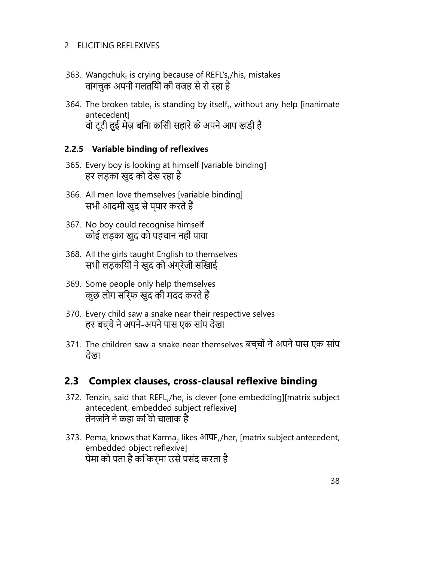- 363. Wangchuk*<sup>i</sup>* is crying because of REFL's*i*/his*<sup>i</sup>* mistakes वांगचुक अपनी गलतियों की वजह से रो रहा है
- 364. The broken table<sub>i</sub> is standing by itself<sub>i</sub>, without any help [inanimate antecedent] वो टूटी हुई मेज़ बिना किसी सहारे के अपने आप खड़ी है

#### **2.2.5 Variable binding of reflexives**

- 365. Every boy is looking at himself [variable binding] हर लड़का खुद को देख रहा है
- 366. All men love themselves [variable binding] सभी आदमी खुद से प्यार करते हैं
- 367. No boy could recognise himself कोई लड़का खुद को पहचान नहीं पाया
- 368. All the girls taught English to themselves सभी लड़कियों ने खुद को अंग्रेजी सिखाई
- 369. Some people only help themselves कुछ लोग सिर्फ खुद की मदद करते हैं
- 370. Every child saw a snake near their respective selves हर बच्चे ने अपने-अपने पास एक सांप देखा
- 371. The children saw a snake near themselves बच्चों ने अपने पास एक सांप देखा

### **2.3 Complex clauses, cross-clausal reflexive binding**

- 372. Tenzin*<sup>i</sup>* said that REFL*i*/he*<sup>i</sup>* is clever [one embedding][matrix subject antecedent, embedded subject reflexive] तेनजिन ने कहा कि वो चालाक है
- 373. Pema*<sup>i</sup>* knows that Karma*<sup>j</sup>* likes आपF*i*/her*<sup>i</sup>* [matrix subject antecedent, embedded object reflexive] पेमा को पता है कि कर्मा उसे पसंद करता है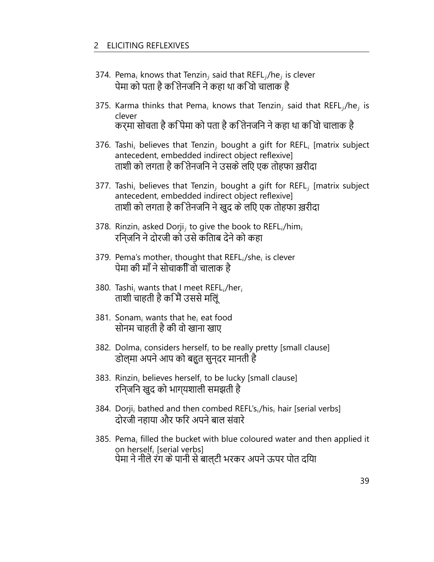- 374. Pema*<sup>i</sup>* knows that Tenzin*<sup>j</sup>* said that REFL*<sup>j</sup>* /he*<sup>j</sup>* is clever पेमा को पता है कि तेनजिन ने कहा था कि वो चालाक है
- 375. Karma thinks that Pema*<sup>i</sup>* knows that Tenzin*<sup>j</sup>* said that REFL*<sup>j</sup>* /he*<sup>j</sup>* is clever कर्मा सोचता है कि पेमा को पता है कि तेनजिन ने कहा था कि वो चालाक है
- 376. Tashi*<sup>i</sup>* believes that Tenzin*<sup>j</sup>* bought a gift for REFL*<sup>i</sup>* [matrix subject antecedent, embedded indirect object reflexive] ताशी को लगता है कि तेनजिन ने उसके लिए एक तोहफा ख़रीदा
- 377. Tashi*<sup>i</sup>* believes that Tenzin*<sup>j</sup>* bought a gift for REFL*<sup>j</sup>* [matrix subject antecedent, embedded indirect object reflexive] ताशी को लगता है कि तेनजिन ने खुद के लिए एक तोहफा ख़रीदा
- 378. Rinzin*<sup>i</sup>* asked Dorji*<sup>j</sup>* to give the book to REFL*i*/him*<sup>i</sup>* रिन्जिन ने दोरजी को उसे किताब देने को कहा
- 379. Pema's mother*<sup>i</sup>* thought that REFL*i*/she*<sup>i</sup>* is clever पेमा की माँ ने सोचाकिी वो चालाक है
- 380. Tashi*<sup>i</sup>* wants that I meet REFL*i*/her*<sup>i</sup>* ताशी चाहती है कि मैं उससे मिलूं
- 381. Sonam*<sup>i</sup>* wants that he*<sup>i</sup>* eat food सोनम चाहती है की वो खाना खाए
- 382. Dolma*<sup>i</sup>* considers herself*<sup>i</sup>* to be really pretty [small clause] डोल्मा अपने आप को बहुत सुन्दर मानती है
- 383. Rinzin*<sup>i</sup>* believes herself*<sup>i</sup>* to be lucky [small clause] रिन्जिन खुद को भाग्यशाली समझती है
- 384. Dorji*<sup>i</sup>* bathed and then combed REFL's*i*/his*<sup>i</sup>* hair [serial verbs] दोरजी नहाया और फिर अपने बाल संवारे
- 385. Pema*<sup>i</sup>* filled the bucket with blue coloured water and then applied it on herself*<sup>i</sup>* [serial verbs] पेमा ने नीले रंग के पानी से बाल्टी भरकर अपने ऊपर पोत दिया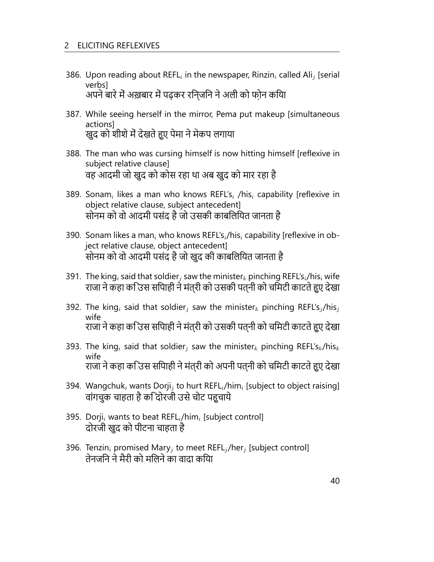- 386. Upon reading about REFL*<sup>i</sup>* in the newspaper, Rinzin*<sup>i</sup>* called Ali*<sup>j</sup>* [serial verbs] अपने बारे में अख़बार में पढ़कर रिन्जिन ने अली को फ़ोन किया
- 387. While seeing herself in the mirror, Pema put makeup [simultaneous actions] खुद को शीशे में देखते हुए पेमा ने मेकप लगाया
- 388. The man who was cursing himself is now hitting himself [reflexive in subject relative clause] वह आदमी जो खुद को कोस रहा था अब खुद को मार रहा है
- 389. Sonam*<sup>i</sup>* likes a man who knows REFL's*<sup>i</sup>* /his*<sup>i</sup>* capability [reflexive in object relative clause, subject antecedent] सोनम को वो आदमी पसंद है जो उसकी काबिलियत जानता है
- 390. Sonam likes a man*<sup>i</sup>* who knows REFL's*i*/his*<sup>i</sup>* capability [reflexive in object relative clause, object antecedent] सोनम को वो आदमी पसंद है जो खुद की काबिलियत जानता है
- 391. The king*<sup>i</sup>* said that soldier*<sup>j</sup>* saw the minister*<sup>k</sup>* pinching REFL's*i*/his*<sup>i</sup>* wife राजा ने कहा कउिस सपािही ने मंत्री को उसकी पत्नी को चमिटी काटते हुए देखा
- 392. The king*<sup>i</sup>* said that soldier*<sup>j</sup>* saw the minister*<sup>k</sup>* pinching REFL's*<sup>j</sup>* /his*<sup>j</sup>* wife राजा ने कहा कि उस सिपाही ने मंत्री को उसकी पत्नी को चिमटी काटते हुए देखा
- 393. The king*<sup>i</sup>* said that soldier*<sup>j</sup>* saw the minister*<sup>k</sup>* pinching REFL's*k*/his*<sup>k</sup>* wife राजा ने कहा कि उस सिपाही ने मंत्री को अपनी पत्नी को चिमटी काटते हुए देखा
- 394. Wangchuk*<sup>i</sup>* wants Dorji*<sup>j</sup>* to hurt REFL*i*/him*<sup>i</sup>* [subject to object raising] वांगचुक चाहता है कि दोरजी उसे चोट पहुचाये
- 395. Dorji*<sup>i</sup>* wants to beat REFL*i*/him*<sup>i</sup>* [subject control] दोरजी खुद को पीटना चाहता है
- 396. Tenzin*<sup>i</sup>* promised Mary*<sup>j</sup>* to meet REFL*<sup>j</sup>* /her*<sup>j</sup>* [subject control] तेनजिन ने मैरी को मिलने का वादा किया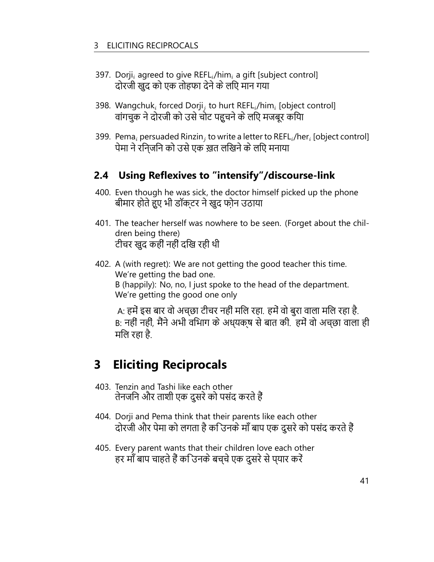- 397. Dorji*<sup>i</sup>* agreed to give REFL*i*/him*<sup>i</sup>* a gift [subject control] दोरजी खुद को एक तोहफा देने के लिए मान गया
- 398. Wangchuk*<sup>i</sup>* forced Dorji*<sup>j</sup>* to hurt REFL*i*/him*<sup>i</sup>* [object control] वांगचुक ने दोरजी को उसे चोट पहुचने के लिए मजबूर किया
- 399. Pema*<sup>i</sup>* persuaded Rinzin*<sup>j</sup>* to write a letter to REFL*i*/her*<sup>i</sup>* [object control] पेमा ने रिन्जिन को उसे एक ख़त लिखने के लिए मनाया

### **2.4 Using Reflexives to "intensify"/discourse-link**

- 400. Even though he was sick, the doctor himself picked up the phone बीमार होते हुए भी डॉक्टर ने खुद फ़ोन उठाया
- 401. The teacher herself was nowhere to be seen. (Forget about the children being there) टीचर खुद कहीं नहीं दिख रही थी
- 402. A (with regret): We are not getting the good teacher this time. We're getting the bad one. B (happily): No, no, I just spoke to the head of the department. We're getting the good one only

A: हमें इस बार वो अच्छा टीचर नहीं मिल रहा. हमें वो बुरा वाला मिल रहा है. B: नहीं नहीं, मैंने अभी विभाग के अध्यक्ष से बात की. हमें वो अच्छा वाला ही मिल रहा है.

## **3 Eliciting Reciprocals**

- 403. Tenzin and Tashi like each other तेनजिन और ताशी एक दुसरे को पसंद करते हैं
- 404. Dorji and Pema think that their parents like each other दोरजी और पेमा को लगता है कि उनके माँ बाप एक दुसरे को पसंद करते हैं
- 405. Every parent wants that their children love each other हर माँ बाप चाहते हैं कि उनके बच्चे एक दुसरे से प्यार करें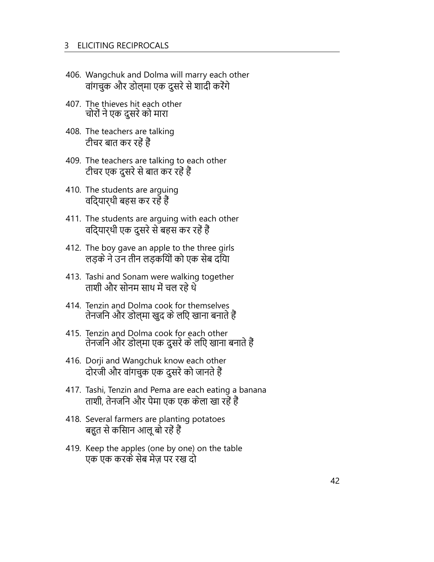#### 3 ELICITING RECIPROCALS

- 406. Wangchuk and Dolma will marry each other वांगचुक और डोल्मा एक दुसरे से शादी करेंगे
- 407. The thieves hit each other चोरों ने एक दुसरे को मारा
- 408. The teachers are talking टीचर बात कर रहें हैं
- 409. The teachers are talking to each other टीचर एक दुसरे से बात कर रहें हैं
- 410. The students are arguing विद्यार्थी बहस कर रहें हैं
- 411. The students are arguing with each other विद्यार्थी एक दुसरे से बहस कर रहें हैं
- 412. The boy gave an apple to the three girls लड़के ने उन तीन लड़कियों को एक सेब दिया
- 413. Tashi and Sonam were walking together ताशी और सोनम साथ में चल रहे थे
- 414. Tenzin and Dolma cook for themselves तेनजिन और डोल्मा खुद के लिए खाना बनाते हैं
- 415. Tenzin and Dolma cook for each other तेनजिन और डोल्मा एक दुसरे के लिए खाना बनाते हैं
- 416. Dorji and Wangchuk know each other दोरजी और वांगचुक एक दुसरे को जानते हैं
- 417. Tashi, Tenzin and Pema are each eating a banana ताशी, तेनजिन और पेमा एक एक केला खा रहें हैं
- 418. Several farmers are planting potatoes बहुत से किसान आलू बो रहें हैं
- 419. Keep the apples (one by one) on the table एक एक करके सेब मेज़ पर रख दो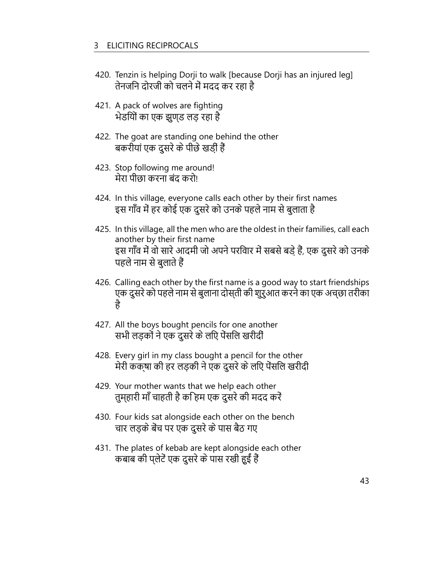- 420. Tenzin is helping Dorji to walk [because Dorji has an injured leg] तेनजिन दोरजी को चलने में मदद कर रहा है
- 421. A pack of wolves are fighting भेडियों का एक झुण्ड लड़ रहा है
- 422. The goat are standing one behind the other बकरीयां एक दुसरे के पीछे खड़ीं हैं
- 423. Stop following me around! मेरा पीछा करना बंद करो!
- 424. In this village, everyone calls each other by their first names इस गाँव में हर कोई एक दुसरे को उनके पहले नाम से बुलाता है
- 425. In this village, all the men who are the oldest in their families, call each another by their first name इस गाँव में वो सारे आदमी जो अपने परिवार में सबसे बड़े हैं, एक दुसरे को उनके पहले नाम से बुलाते हैं
- 426. Calling each other by the first name is a good way to start friendships एक दुसरे को पहले नाम से बुलाना दोस्ती की शुरुआत करने का एक अच्छा तरीका है
- 427. All the boys bought pencils for one another सभी लड़कों ने एक दुसरे के लिए पेंसिल खरीदीं
- 428. Every girl in my class bought a pencil for the other मेरी कक्षा की हर लड़की ने एक दुसरे के लिए पेंसिल खरीदी
- 429. Your mother wants that we help each other तुम्हारी माँ चाहती है कि हम एक दुसरे की मदद करें
- 430. Four kids sat alongside each other on the bench चार लड़के बेंच पर एक दुसरे के पास बैठ गए
- 431. The plates of kebab are kept alongside each other कबाब की प्लेटें एक दुसरे के पास रखी हुईं हैं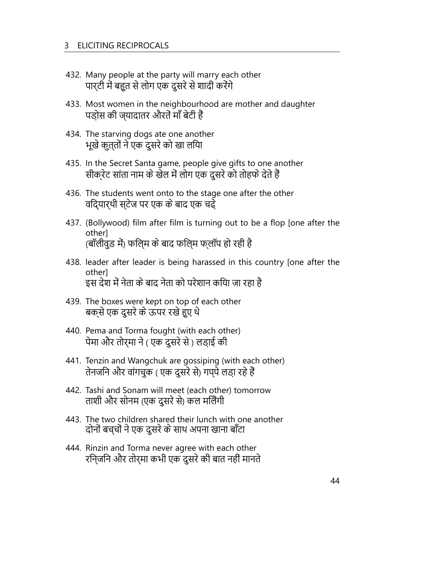- 432. Many people at the party will marry each other पार्टी में बहुत से लोग एक दुसरे से शादी करेंगे
- 433. Most women in the neighbourhood are mother and daughter पड़ोस की ज्यादातर औरतें माँ बेटी हैं
- 434. The starving dogs ate one another भूखे कुत्तों ने एक दुसरे को खा लिया
- 435. In the Secret Santa game, people give gifts to one another सीक्रेट सांता नाम के खेल में लोग एक दुसरे को तोहफे देते हैं
- 436. The students went onto to the stage one after the other विद्यार्थी स्टेज पर एक के बाद एक चढ़े
- 437. (Bollywood) film after film is turning out to be a flop [one after the other] (बॉलीवुड में) फिल्म के बाद फिल्म फ्लॉप हो रही है
- 438. leader after leader is being harassed in this country [one after the other] इस देश में नेता के बाद नेता को परेशान किया जा रहा है
- 439. The boxes were kept on top of each other बक्से एक दुसरे के ऊपर रखे हुए थे
- 440. Pema and Torma fought (with each other) पेमा और तोर्मा ने ( एक दुसरे से ) लड़ाई की
- 441. Tenzin and Wangchuk are gossiping (with each other) तेनजिन और वांगचुक ( एक दुसरे से) गप्पे लड़ा रहे हैं
- 442. Tashi and Sonam will meet (each other) tomorrow ताशी और सोनम (एक दुसरे से) कल मिलेंगी
- 443. The two children shared their lunch with one another दोनों बच्चों ने एक दुसरे के साथ अपना खाना बाँटा
- 444. Rinzin and Torma never agree with each other रिन्जिन और तोर्मा कभी एक दुसरे की बात नहीं मानते